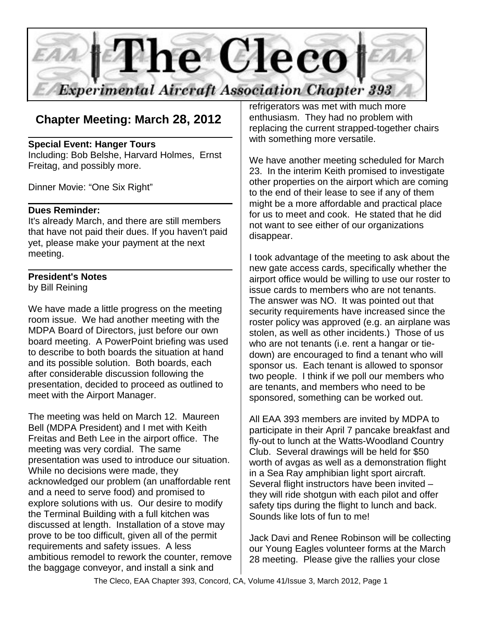

# **Chapter Meeting: March 28, 2012**

#### **Special Event: Hanger Tours**

Including: Bob Belshe, Harvard Holmes, Ernst Freitag, and possibly more.

Dinner Movie: "One Six Right"

#### **Dues Reminder:**

It's already March, and there are still members that have not paid their dues. If you haven't paid yet, please make your payment at the next meeting.

### **President's Notes**

by Bill Reining

We have made a little progress on the meeting room issue. We had another meeting with the MDPA Board of Directors, just before our own board meeting. A PowerPoint briefing was used to describe to both boards the situation at hand and its possible solution. Both boards, each after considerable discussion following the presentation, decided to proceed as outlined to meet with the Airport Manager.

The meeting was held on March 12. Maureen Bell (MDPA President) and I met with Keith Freitas and Beth Lee in the airport office. The meeting was very cordial. The same presentation was used to introduce our situation. While no decisions were made, they acknowledged our problem (an unaffordable rent and a need to serve food) and promised to explore solutions with us. Our desire to modify the Terminal Building with a full kitchen was discussed at length. Installation of a stove may prove to be too difficult, given all of the permit requirements and safety issues. A less ambitious remodel to rework the counter, remove the baggage conveyor, and install a sink and

refrigerators was met with much more enthusiasm. They had no problem with replacing the current strapped-together chairs with something more versatile.

We have another meeting scheduled for March 23. In the interim Keith promised to investigate other properties on the airport which are coming to the end of their lease to see if any of them might be a more affordable and practical place for us to meet and cook. He stated that he did not want to see either of our organizations disappear.

I took advantage of the meeting to ask about the new gate access cards, specifically whether the airport office would be willing to use our roster to issue cards to members who are not tenants. The answer was NO. It was pointed out that security requirements have increased since the roster policy was approved (e.g. an airplane was stolen, as well as other incidents.) Those of us who are not tenants (i.e. rent a hangar or tiedown) are encouraged to find a tenant who will sponsor us. Each tenant is allowed to sponsor two people. I think if we poll our members who are tenants, and members who need to be sponsored, something can be worked out.

All EAA 393 members are invited by MDPA to participate in their April 7 pancake breakfast and fly-out to lunch at the Watts-Woodland Country Club. Several drawings will be held for \$50 worth of avgas as well as a demonstration flight in a Sea Ray amphibian light sport aircraft. Several flight instructors have been invited – they will ride shotgun with each pilot and offer safety tips during the flight to lunch and back. Sounds like lots of fun to me!

Jack Davi and Renee Robinson will be collecting our Young Eagles volunteer forms at the March 28 meeting. Please give the rallies your close

The Cleco, EAA Chapter 393, Concord, CA, Volume 41/Issue 3, March 2012, Page 1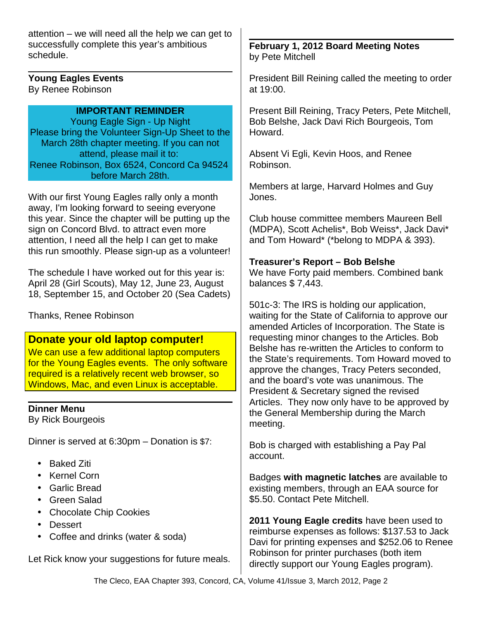attention – we will need all the help we can get to successfully complete this year's ambitious schedule.

**Young Eagles Events** By Renee Robinson

## **IMPORTANT REMINDER**

Young Eagle Sign - Up Night Please bring the Volunteer Sign-Up Sheet to the March 28th chapter meeting. If you can not attend, please mail it to: Renee Robinson, Box 6524, Concord Ca 94524 before March 28th.

With our first Young Eagles rally only a month away, I'm looking forward to seeing everyone this year. Since the chapter will be putting up the sign on Concord Blvd. to attract even more attention, I need all the help I can get to make this run smoothly. Please sign-up as a volunteer!

The schedule I have worked out for this year is: April 28 (Girl Scouts), May 12, June 23, August 18, September 15, and October 20 (Sea Cadets)

Thanks, Renee Robinson

## **Donate your old laptop computer!**

We can use a few additional laptop computers for the Young Eagles events. The only software required is a relatively recent web browser, so Windows, Mac, and even Linux is acceptable.

## **Dinner Menu**

By Rick Bourgeois

Dinner is served at 6:30pm – Donation is \$7:

- Baked Ziti
- Kernel Corn
- Garlic Bread
- Green Salad
- Chocolate Chip Cookies
- Dessert
- Coffee and drinks (water & soda)

Let Rick know your suggestions for future meals.

**February 1, 2012 Board Meeting Notes** by Pete Mitchell

President Bill Reining called the meeting to order at 19:00.

Present Bill Reining, Tracy Peters, Pete Mitchell, Bob Belshe, Jack Davi Rich Bourgeois, Tom Howard.

Absent Vi Egli, Kevin Hoos, and Renee Robinson.

Members at large, Harvard Holmes and Guy Jones.

Club house committee members Maureen Bell (MDPA), Scott Achelis\*, Bob Weiss\*, Jack Davi\* and Tom Howard\* (\*belong to MDPA & 393).

## **Treasurer's Report – Bob Belshe**

We have Forty paid members. Combined bank balances \$ 7,443.

501c-3: The IRS is holding our application, waiting for the State of California to approve our amended Articles of Incorporation. The State is requesting minor changes to the Articles. Bob Belshe has re-written the Articles to conform to the State's requirements. Tom Howard moved to approve the changes, Tracy Peters seconded, and the board's vote was unanimous. The President & Secretary signed the revised Articles. They now only have to be approved by the General Membership during the March meeting.

Bob is charged with establishing a Pay Pal account.

Badges **with magnetic latches** are available to existing members, through an EAA source for \$5.50. Contact Pete Mitchell.

**2011 Young Eagle credits** have been used to reimburse expenses as follows: \$137.53 to Jack Davi for printing expenses and \$252.06 to Renee Robinson for printer purchases (both item directly support our Young Eagles program).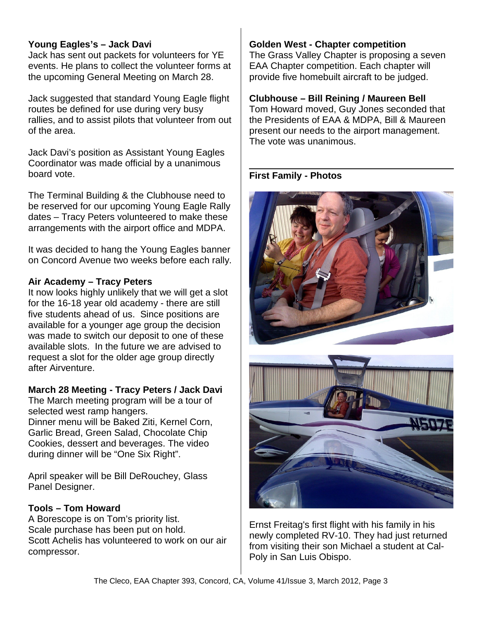### **Young Eagles's – Jack Davi**

Jack has sent out packets for volunteers for YE events. He plans to collect the volunteer forms at the upcoming General Meeting on March 28.

Jack suggested that standard Young Eagle flight routes be defined for use during very busy rallies, and to assist pilots that volunteer from out of the area.

Jack Davi's position as Assistant Young Eagles Coordinator was made official by a unanimous board vote.

The Terminal Building & the Clubhouse need to be reserved for our upcoming Young Eagle Rally dates – Tracy Peters volunteered to make these arrangements with the airport office and MDPA.

It was decided to hang the Young Eagles banner on Concord Avenue two weeks before each rally.

#### **Air Academy – Tracy Peters**

It now looks highly unlikely that we will get a slot for the 16-18 year old academy - there are still five students ahead of us. Since positions are available for a younger age group the decision was made to switch our deposit to one of these available slots. In the future we are advised to request a slot for the older age group directly after Airventure.

#### **March 28 Meeting - Tracy Peters / Jack Davi**

The March meeting program will be a tour of selected west ramp hangers.

Dinner menu will be Baked Ziti, Kernel Corn, Garlic Bread, Green Salad, Chocolate Chip Cookies, dessert and beverages. The video during dinner will be "One Six Right".

April speaker will be Bill DeRouchey, Glass Panel Designer.

#### **Tools – Tom Howard**

A Borescope is on Tom's priority list. Scale purchase has been put on hold. Scott Achelis has volunteered to work on our air compressor.

#### **Golden West - Chapter competition**

The Grass Valley Chapter is proposing a seven EAA Chapter competition. Each chapter will provide five homebuilt aircraft to be judged.

#### **Clubhouse – Bill Reining / Maureen Bell**

Tom Howard moved, Guy Jones seconded that the Presidents of EAA & MDPA, Bill & Maureen present our needs to the airport management. The vote was unanimous.

**First Family - Photos**



Ernst Freitag's first flight with his family in his newly completed RV-10. They had just returned from visiting their son Michael a student at Cal-Poly in San Luis Obispo.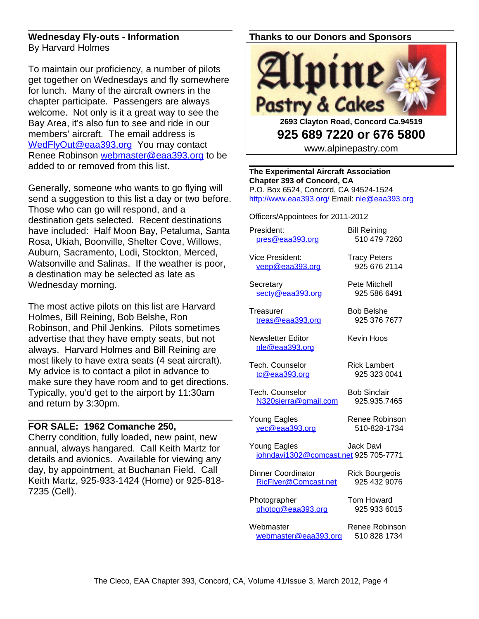#### **Wednesday Fly-outs - Information** By Harvard Holmes

To maintain our proficiency, a number of pilots get together on Wednesdays and fly somewhere for lunch. Many of the aircraft owners in the chapter participate. Passengers are always welcome. Not only is it a great way to see the Bay Area, it's also fun to see and ride in our members' aircraft. The email address is [WedFlyOut@eaa393.org](mailto:WedFlyOut@eaa393.org) You may contact Renee Robinson [webmaster@eaa393.org](mailto:webmaster@eaa393.org) to be added to or removed from this list.

Generally, someone who wants to go flying will send a suggestion to this list a day or two before. Those who can go will respond, and a destination gets selected. Recent destinations have included: Half Moon Bay, Petaluma, Santa Rosa, Ukiah, Boonville, Shelter Cove, Willows, Auburn, Sacramento, Lodi, Stockton, Merced, Watsonville and Salinas. If the weather is poor, a destination may be selected as late as Wednesday morning.

The most active pilots on this list are Harvard Holmes, Bill Reining, Bob Belshe, Ron Robinson, and Phil Jenkins. Pilots sometimes advertise that they have empty seats, but not always. Harvard Holmes and Bill Reining are most likely to have extra seats (4 seat aircraft). My advice is to contact a pilot in advance to make sure they have room and to get directions. Typically, you'd get to the airport by 11:30am and return by 3:30pm.

#### **FOR SALE: 1962 Comanche 250,**

Cherry condition, fully loaded, new paint, new annual, always hangared. Call Keith Martz for details and avionics. Available for viewing any day, by appointment, at Buchanan Field. Call Keith Martz, 925-933-1424 (Home) or 925-818- 7235 (Cell).

## **Thanks to our Donors and Sponsors**



**2693 Clayton Road, Concord Ca.94519 925 689 7220 or 676 5800**

www.alpinepastry.com

**The Experimental Aircraft Association Chapter 393 of Concord, CA** P.O. Box 6524, Concord, CA 94524-1524 <http://www.eaa393.org/>Email: [nle@eaa393.org](mailto:nle@eaa393.org)

Officers/Appointees for 2011-2012

President: Bill Reining [pres@eaa393.org](mailto:pres@eaa393.org) 510 479 7260

Vice President: Tracy Peters [veep@eaa393.org](mailto:veep@eaa393.org) 925 676 2114

Secretary **Pete Mitchell** [secty@eaa393.org](mailto:secty@eaa393.org) 925 586 6491

Treasurer Bob Belshe [treas@eaa393.org](mailto:treas@eaa393.org) 925 376 7677

Newsletter Editor **Kevin Hoos** 

Tech. Counselor **Rick Lambert** [tc@eaa393.org](mailto:tc@eaa393.org) 925 323 0041

Tech. Counselor Bob Sinclair [N320sierra@gmail.com](mailto:N320sierra@gmail.com) 925.935.7465

Young Eagles Renee Robinson [yec@eaa393.org](mailto:yec@eaa393.org) 510-828-1734

[nle@eaa393.org](mailto:nle@eaa393.org)

Young Eagles Jack Davi [johndavi1302@comcast.net](mailto:johndavi1302@comcast.net) 925 705-7771

Dinner Coordinator Rick Bourgeois [RicFlyer@Comcast.net](mailto:RicFlyer@Comcast.net) 925 432 9076

Photographer Tom Howard [photog@eaa393.org](mailto:photog@eaa393.org) 925 933 6015

Webmaster Renee Robinson [webmaster@eaa393.org](mailto:webmaster@eaa393.org) 510 828 1734